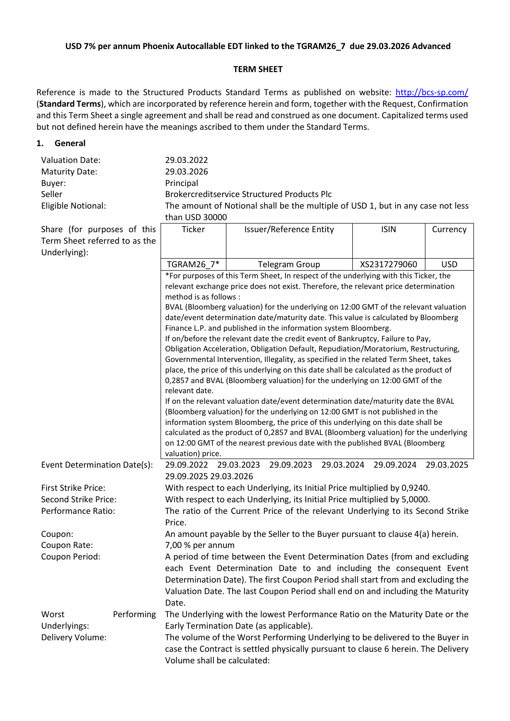### **USD 7% per annum Phoenix Autocallable EDT linked to the TGRAM26\_7 due 29.03.2026 Advanced**

#### **TERM SHEET**

Reference is made to the Structured Products Standard Terms as published on website:<http://bcs-sp.com/> (**Standard Terms**), which are incorporated by reference herein and form, together with the Request, Confirmation and this Term Sheet a single agreement and shall be read and construed as one document. Capitalized terms used but not defined herein have the meanings ascribed to them under the Standard Terms.

#### **1. General**

| <b>Valuation Date:</b> | 29.03.2022                                                                                        |  |
|------------------------|---------------------------------------------------------------------------------------------------|--|
| <b>Maturity Date:</b>  | 29.03.2026                                                                                        |  |
| Buyer:                 | Principal                                                                                         |  |
| Seller                 | <b>Brokercreditservice Structured Products Plc</b>                                                |  |
| Eligible Notional:     | The amount of Notional shall be the multiple of USD 1, but in any case not less<br>than USD 30000 |  |

|                                                              |                                                                                                | ulali UJU JUUUU                                                                                                                                      |                                                                                       |              |            |  |
|--------------------------------------------------------------|------------------------------------------------------------------------------------------------|------------------------------------------------------------------------------------------------------------------------------------------------------|---------------------------------------------------------------------------------------|--------------|------------|--|
| Share (for purposes of this<br>Term Sheet referred to as the |                                                                                                | Ticker                                                                                                                                               | Issuer/Reference Entity                                                               | <b>ISIN</b>  | Currency   |  |
| Underlying):                                                 |                                                                                                | TGRAM26_7*                                                                                                                                           |                                                                                       | XS2317279060 | <b>USD</b> |  |
|                                                              |                                                                                                |                                                                                                                                                      | <b>Telegram Group</b>                                                                 |              |            |  |
|                                                              |                                                                                                | *For purposes of this Term Sheet, In respect of the underlying with this Ticker, the                                                                 |                                                                                       |              |            |  |
|                                                              |                                                                                                | relevant exchange price does not exist. Therefore, the relevant price determination<br>method is as follows :                                        |                                                                                       |              |            |  |
|                                                              |                                                                                                | BVAL (Bloomberg valuation) for the underlying on 12:00 GMT of the relevant valuation                                                                 |                                                                                       |              |            |  |
|                                                              |                                                                                                | date/event determination date/maturity date. This value is calculated by Bloomberg                                                                   |                                                                                       |              |            |  |
|                                                              |                                                                                                | Finance L.P. and published in the information system Bloomberg.                                                                                      |                                                                                       |              |            |  |
|                                                              |                                                                                                | If on/before the relevant date the credit event of Bankruptcy, Failure to Pay,                                                                       |                                                                                       |              |            |  |
|                                                              |                                                                                                | Obligation Acceleration, Obligation Default, Repudiation/Moratorium, Restructuring,                                                                  |                                                                                       |              |            |  |
|                                                              |                                                                                                | Governmental Intervention, Illegality, as specified in the related Term Sheet, takes                                                                 |                                                                                       |              |            |  |
|                                                              |                                                                                                | place, the price of this underlying on this date shall be calculated as the product of                                                               |                                                                                       |              |            |  |
|                                                              | 0,2857 and BVAL (Bloomberg valuation) for the underlying on 12:00 GMT of the<br>relevant date. |                                                                                                                                                      |                                                                                       |              |            |  |
|                                                              |                                                                                                | If on the relevant valuation date/event determination date/maturity date the BVAL                                                                    |                                                                                       |              |            |  |
|                                                              | (Bloomberg valuation) for the underlying on 12:00 GMT is not published in the                  |                                                                                                                                                      |                                                                                       |              |            |  |
|                                                              |                                                                                                | information system Bloomberg, the price of this underlying on this date shall be                                                                     |                                                                                       |              |            |  |
|                                                              |                                                                                                |                                                                                                                                                      | calculated as the product of 0,2857 and BVAL (Bloomberg valuation) for the underlying |              |            |  |
|                                                              |                                                                                                | on 12:00 GMT of the nearest previous date with the published BVAL (Bloomberg                                                                         |                                                                                       |              |            |  |
|                                                              |                                                                                                | valuation) price.                                                                                                                                    |                                                                                       |              |            |  |
| Event Determination Date(s):                                 |                                                                                                | 29.09.2022<br>29.09.2025 29.03.2026                                                                                                                  | 29.03.2023<br>29.03.2024<br>29.09.2023                                                | 29.09.2024   | 29.03.2025 |  |
| <b>First Strike Price:</b>                                   |                                                                                                |                                                                                                                                                      |                                                                                       |              |            |  |
| Second Strike Price:                                         |                                                                                                | With respect to each Underlying, its Initial Price multiplied by 0,9240.<br>With respect to each Underlying, its Initial Price multiplied by 5,0000. |                                                                                       |              |            |  |
| Performance Ratio:                                           |                                                                                                | The ratio of the Current Price of the relevant Underlying to its Second Strike                                                                       |                                                                                       |              |            |  |
|                                                              |                                                                                                | Price.                                                                                                                                               |                                                                                       |              |            |  |
| Coupon:                                                      |                                                                                                | An amount payable by the Seller to the Buyer pursuant to clause 4(a) herein.                                                                         |                                                                                       |              |            |  |
| Coupon Rate:                                                 |                                                                                                | 7,00 % per annum                                                                                                                                     |                                                                                       |              |            |  |
| Coupon Period:                                               |                                                                                                | A period of time between the Event Determination Dates (from and excluding                                                                           |                                                                                       |              |            |  |
|                                                              |                                                                                                | each Event Determination Date to and including the consequent Event                                                                                  |                                                                                       |              |            |  |
|                                                              |                                                                                                | Determination Date). The first Coupon Period shall start from and excluding the                                                                      |                                                                                       |              |            |  |
|                                                              |                                                                                                | Valuation Date. The last Coupon Period shall end on and including the Maturity                                                                       |                                                                                       |              |            |  |
|                                                              |                                                                                                | Date.                                                                                                                                                |                                                                                       |              |            |  |
| Worst                                                        | Performing                                                                                     |                                                                                                                                                      | The Underlying with the lowest Performance Ratio on the Maturity Date or the          |              |            |  |
| Underlyings:                                                 |                                                                                                | Early Termination Date (as applicable).                                                                                                              |                                                                                       |              |            |  |
| Delivery Volume:                                             |                                                                                                |                                                                                                                                                      | The volume of the Worst Performing Underlying to be delivered to the Buyer in         |              |            |  |
|                                                              |                                                                                                | case the Contract is settled physically pursuant to clause 6 herein. The Delivery                                                                    |                                                                                       |              |            |  |
|                                                              |                                                                                                | Volume shall be calculated:                                                                                                                          |                                                                                       |              |            |  |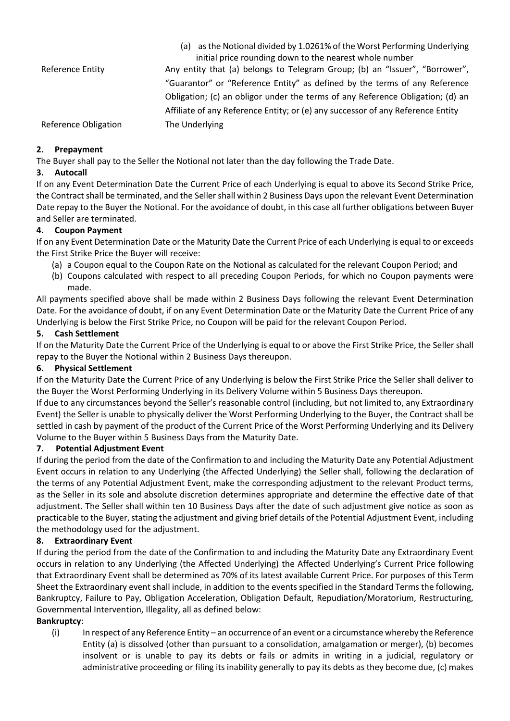|                      | (a) as the Notional divided by 1.0261% of the Worst Performing Underlying       |
|----------------------|---------------------------------------------------------------------------------|
|                      | initial price rounding down to the nearest whole number                         |
| Reference Entity     | Any entity that (a) belongs to Telegram Group; (b) an "Issuer", "Borrower",     |
|                      | "Guarantor" or "Reference Entity" as defined by the terms of any Reference      |
|                      | Obligation; (c) an obligor under the terms of any Reference Obligation; (d) an  |
|                      | Affiliate of any Reference Entity; or (e) any successor of any Reference Entity |
| Reference Obligation | The Underlying                                                                  |

## **2. Prepayment**

The Buyer shall pay to the Seller the Notional not later than the day following the Trade Date.

## **3. Autocall**

If on any Event Determination Date the Current Price of each Underlying is equal to above its Second Strike Price, the Contract shall be terminated, and the Seller shall within 2 Business Days upon the relevant Event Determination Date repay to the Buyer the Notional. For the avoidance of doubt, in this case all further obligations between Buyer and Seller are terminated.

# **4. Coupon Payment**

If on any Event Determination Date or the Maturity Date the Current Price of each Underlying is equal to or exceeds the First Strike Price the Buyer will receive:

- (a) a Coupon equal to the Coupon Rate on the Notional as calculated for the relevant Coupon Period; and
- (b) Coupons calculated with respect to all preceding Coupon Periods, for which no Coupon payments were made.

All payments specified above shall be made within 2 Business Days following the relevant Event Determination Date. For the avoidance of doubt, if on any Event Determination Date or the Maturity Date the Current Price of any Underlying is below the First Strike Price, no Coupon will be paid for the relevant Coupon Period.

# **5. Cash Settlement**

If on the Maturity Date the Current Price of the Underlying is equal to or above the First Strike Price, the Seller shall repay to the Buyer the Notional within 2 Business Days thereupon.

## **6. Physical Settlement**

If on the Maturity Date the Current Price of any Underlying is below the First Strike Price the Seller shall deliver to the Buyer the Worst Performing Underlying in its Delivery Volume within 5 Business Days thereupon.

If due to any circumstances beyond the Seller's reasonable control (including, but not limited to, any Extraordinary Event) the Seller is unable to physically deliver the Worst Performing Underlying to the Buyer, the Contract shall be settled in cash by payment of the product of the Current Price of the Worst Performing Underlying and its Delivery Volume to the Buyer within 5 Business Days from the Maturity Date.

## **7. Potential Adjustment Event**

If during the period from the date of the Confirmation to and including the Maturity Date any Potential Adjustment Event occurs in relation to any Underlying (the Affected Underlying) the Seller shall, following the declaration of the terms of any Potential Adjustment Event, make the corresponding adjustment to the relevant Product terms, as the Seller in its sole and absolute discretion determines appropriate and determine the effective date of that adjustment. The Seller shall within ten 10 Business Days after the date of such adjustment give notice as soon as practicable to the Buyer, stating the adjustment and giving brief details of the Potential Adjustment Event, including the methodology used for the adjustment.

## **8. Extraordinary Event**

If during the period from the date of the Confirmation to and including the Maturity Date any Extraordinary Event occurs in relation to any Underlying (the Affected Underlying) the Affected Underlying's Current Price following that Extraordinary Event shall be determined as 70% of its latest available Current Price. For purposes of this Term Sheet the Extraordinary event shall include, in addition to the events specified in the Standard Terms the following, Bankruptcy, Failure to Pay, Obligation Acceleration, Obligation Default, Repudiation/Moratorium, Restructuring, Governmental Intervention, Illegality, all as defined below:

## **Bankruptcy**:

(i) In respect of any Reference Entity – an occurrence of an event or a circumstance whereby the Reference Entity (a) is dissolved (other than pursuant to a consolidation, amalgamation or merger), (b) becomes insolvent or is unable to pay its debts or fails or admits in writing in a judicial, regulatory or administrative proceeding or filing its inability generally to pay its debts as they become due, (c) makes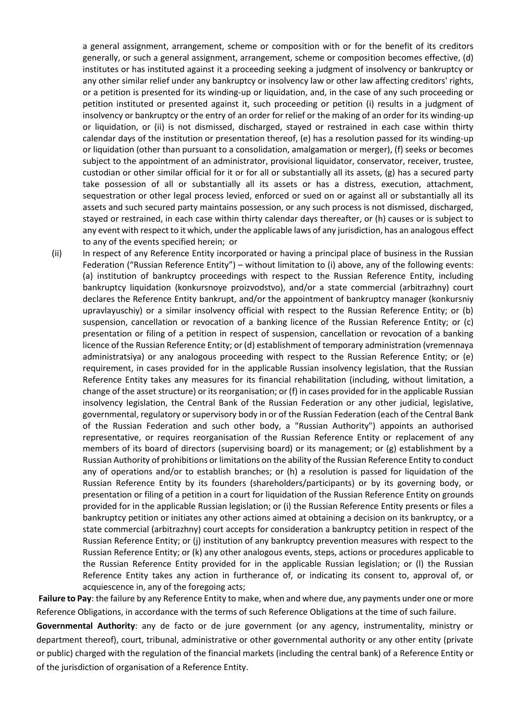a general assignment, arrangement, scheme or composition with or for the benefit of its creditors generally, or such a general assignment, arrangement, scheme or composition becomes effective, (d) institutes or has instituted against it a proceeding seeking a judgment of insolvency or bankruptcy or any other similar relief under any bankruptcy or insolvency law or other law affecting creditors' rights, or a petition is presented for its winding-up or liquidation, and, in the case of any such proceeding or petition instituted or presented against it, such proceeding or petition (i) results in a judgment of insolvency or bankruptcy or the entry of an order for relief or the making of an order for its winding-up or liquidation, or (ii) is not dismissed, discharged, stayed or restrained in each case within thirty calendar days of the institution or presentation thereof, (e) has a resolution passed for its winding-up or liquidation (other than pursuant to a consolidation, amalgamation or merger), (f) seeks or becomes subject to the appointment of an administrator, provisional liquidator, conservator, receiver, trustee, custodian or other similar official for it or for all or substantially all its assets, (g) has a secured party take possession of all or substantially all its assets or has a distress, execution, attachment, sequestration or other legal process levied, enforced or sued on or against all or substantially all its assets and such secured party maintains possession, or any such process is not dismissed, discharged, stayed or restrained, in each case within thirty calendar days thereafter, or (h) causes or is subject to any event with respect to it which, under the applicable laws of any jurisdiction, has an analogous effect to any of the events specified herein; or

(ii) In respect of any Reference Entity incorporated or having a principal place of business in the Russian Federation ("Russian Reference Entity") – without limitation to (i) above, any of the following events: (a) institution of bankruptcy proceedings with respect to the Russian Reference Entity, including bankruptcy liquidation (konkursnoye proizvodstvo), and/or a state commercial (arbitrazhny) court declares the Reference Entity bankrupt, and/or the appointment of bankruptcy manager (konkursniy upravlayuschiy) or a similar insolvency official with respect to the Russian Reference Entity; or (b) suspension, cancellation or revocation of a banking licence of the Russian Reference Entity; or (c) presentation or filing of a petition in respect of suspension, cancellation or revocation of a banking licence of the Russian Reference Entity; or (d) establishment of temporary administration (vremennaya administratsiya) or any analogous proceeding with respect to the Russian Reference Entity; or (e) requirement, in cases provided for in the applicable Russian insolvency legislation, that the Russian Reference Entity takes any measures for its financial rehabilitation (including, without limitation, a change of the asset structure) or its reorganisation; or (f) in cases provided for in the applicable Russian insolvency legislation, the Central Bank of the Russian Federation or any other judicial, legislative, governmental, regulatory or supervisory body in or of the Russian Federation (each of the Central Bank of the Russian Federation and such other body, a "Russian Authority") appoints an authorised representative, or requires reorganisation of the Russian Reference Entity or replacement of any members of its board of directors (supervising board) or its management; or (g) establishment by a Russian Authority of prohibitions or limitations on the ability of the Russian Reference Entity to conduct any of operations and/or to establish branches; or (h) a resolution is passed for liquidation of the Russian Reference Entity by its founders (shareholders/participants) or by its governing body, or presentation or filing of a petition in a court for liquidation of the Russian Reference Entity on grounds provided for in the applicable Russian legislation; or (i) the Russian Reference Entity presents or files a bankruptcy petition or initiates any other actions aimed at obtaining a decision on its bankruptcy, or a state commercial (arbitrazhny) court accepts for consideration a bankruptcy petition in respect of the Russian Reference Entity; or (j) institution of any bankruptcy prevention measures with respect to the Russian Reference Entity; or (k) any other analogous events, steps, actions or procedures applicable to the Russian Reference Entity provided for in the applicable Russian legislation; or (l) the Russian Reference Entity takes any action in furtherance of, or indicating its consent to, approval of, or acquiescence in, any of the foregoing acts;

**Failure to Pay**: the failure by any Reference Entity to make, when and where due, any payments under one or more Reference Obligations, in accordance with the terms of such Reference Obligations at the time of such failure.

**Governmental Authority**: any de facto or de jure government (or any agency, instrumentality, ministry or department thereof), court, tribunal, administrative or other governmental authority or any other entity (private or public) charged with the regulation of the financial markets (including the central bank) of a Reference Entity or of the jurisdiction of organisation of a Reference Entity.